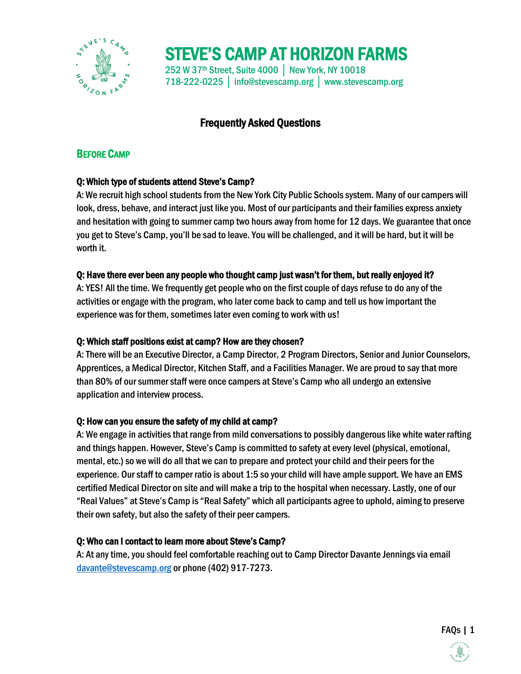

STEVE'S CAMP AT HORIZON FARMS 252 W 37th Street, Suite 4000 │ New York, NY 10018 718-222-0225 │ info@stevescamp.org │ www.stevescamp.org

# Frequently Asked Questions

# BEFORE CAMP

# Q: Which type of students attend Steve's Camp?

A: We recruit high school students from the New York City Public Schools system. Many of our campers will look, dress, behave, and interact just like you. Most of our participants and their families express anxiety and hesitation with going to summer camp two hours away from home for 12 days. We guarantee that once you get to Steve's Camp, you'll be sad to leave. You will be challenged, and it will be hard, but it will be worth it.

# Q: Have there ever been any people who thought camp just wasn't for them, but really enjoyed it?

A: YES! All the time. We frequently get people who on the first couple of days refuse to do any of the activities or engage with the program, who later come back to camp and tell us how important the experience was for them, sometimes later even coming to work with us!

# Q: Which staff positions exist at camp? How are they chosen?

A: There will be an Executive Director, a Camp Director, 2 Program Directors, Senior and Junior Counselors, Apprentices, a Medical Director, Kitchen Staff, and a Facilities Manager. We are proud to say that more than 80% of our summer staff were once campers at Steve's Camp who all undergo an extensive application and interview process.

# Q: How can you ensure the safety of my child at camp?

A: We engage in activities that range from mild conversations to possibly dangerous like white water rafting and things happen. However, Steve's Camp is committed to safety at every level (physical, emotional, mental, etc.) so we will do all that we can to prepare and protect your child and their peers for the experience. Our staff to camper ratio is about 1:5 so your child will have ample support. We have an EMS certified Medical Director on site and will make a trip to the hospital when necessary. Lastly, one of our "Real Values" at Steve's Camp is "Real Safety" which all participants agree to uphold, aiming to preserve their own safety, but also the safety of their peer campers.

# Q: Who can I contact to learn more about Steve's Camp?

A: At any time, you should feel comfortable reaching out to Camp Director Davante Jennings via email [davante@stevescamp.org](mailto:davante@stevescamp.org) or phone (402) 917-7273.

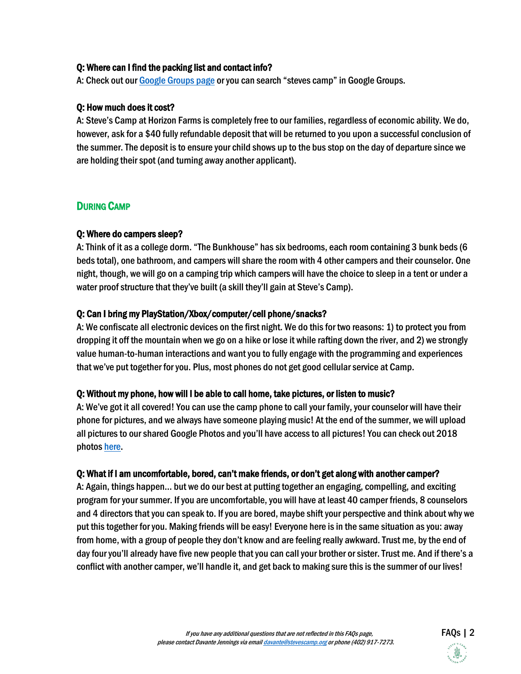#### Q: Where can I find the packing list and contact info?

A: Check out ou[r Google Groups page](https://groups.google.com/forum/#!forum/steves-camp-at-horizon-farms-2019) or you can search "steves camp" in Google Groups.

#### Q: How much does it cost?

A: Steve's Camp at Horizon Farms is completely free to our families, regardless of economic ability. We do, however, ask for a \$40 fully refundable deposit that will be returned to you upon a successful conclusion of the summer. The deposit is to ensure your child shows up to the bus stop on the day of departure since we are holding their spot (and turning away another applicant).

### DURING CAMP

#### Q: Where do campers sleep?

A: Think of it as a college dorm. "The Bunkhouse" hassix bedrooms, each room containing 3 bunk beds (6 beds total), one bathroom, and campers will share the room with 4 other campers and their counselor. One night, though, we will go on a camping trip which campers will have the choice to sleep in a tent or under a water proof structure that they've built (a skill they'll gain at Steve's Camp).

#### Q: Can I bring my PlayStation/Xbox/computer/cell phone/snacks?

A: We confiscate all electronic devices on the first night. We do this for two reasons: 1) to protect you from dropping it off the mountain when we go on a hike or lose it while rafting down the river, and 2) we strongly value human-to-human interactions and want you to fully engage with the programming and experiences that we've put together for you. Plus, most phones do not get good cellular service at Camp.

#### Q: Without my phone, how will I be able to call home, take pictures, or listen to music?

A: We've got it all covered! You can use the camp phone to call your family, your counselor will have their phone for pictures, and we always have someone playing music! At the end of the summer, we will upload all pictures to our shared Google Photos and you'll have access to all pictures! You can check out 2018 photo[s here.](https://photos.app.goo.gl/2Yoiz6HcKjXWTjPQ6)

#### Q: What if I am uncomfortable, bored, can't make friends, or don't get along with another camper?

A: Again, things happen… but we do our best at putting together an engaging, compelling, and exciting program for your summer. If you are uncomfortable, you will have at least 40 camper friends, 8 counselors and 4 directors that you can speak to. If you are bored, maybe shift your perspective and think about why we put this together for you. Making friends will be easy! Everyone here is in the same situation as you: away from home, with a group of people they don't know and are feeling really awkward. Trust me, by the end of day four you'll already have five new people that you can call your brother or sister. Trust me. And if there's a conflict with another camper, we'll handle it, and get back to making sure this is the summer of our lives!